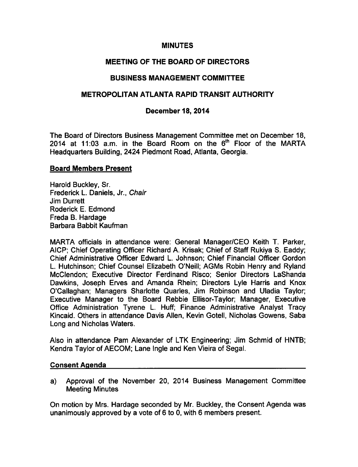## MINUTES

# MEETING OF THE BOARD OF DIRECTORS

# BUSINESS MANAGEMENT COMMITTEE

# METROPOLITAN ATLANTA RAPID TRANSIT AUTHORITY

## December 18, 2014

The Board of Directors Business Management Committee met on December 18, 2014 at 11:03 a.m. in the Board Room on the  $6<sup>th</sup>$  Floor of the MARTA Headquarters Building, 2424 Piedmont Road, Atlanta, Georgia.

#### Board Members Present

Harold Buckley, Sr. Frederick L. Daniels, Jr., Chair Jim Durrett Roderick E. Edmond Freda B. Hardage Barbara Babbit Kaufman

MARTA officials in attendance were: General Manager/CEO Keith T. Parker, AICP; Chief Operating Officer Richard A. Krisak; Chief of Staff Rukiya S. Eaddy; Chief Administrative Officer Edward L. Johnson; Chief Financial Officer Gordon L. Hutchinson; Chief Counsel Elizabeth O'Neill; AGMs Robin Henry and Ryland McClendon; Executive Director Ferdinand Risco; Senior Directors LaShanda Dawkins, Joseph Erves and Amanda Rhein; Directors Lyle Harris and Knox O'Callaghan; Managers Sharlotte Quarles, Jim Robinson and Uladia Taylor; Executive Manager to the Board Rebbie Ellisor-Taylor; Manager, Executive Office Administration Tyrene L. Huff; Finance Administrative Analyst Tracy Kincaid. Others in attendance Davis Allen, Kevin Gotell, Nicholas Gowens, Saba Long and Nicholas Waters.

Also in attendance Pam Alexander of LTK Engineering; Jim Schmid of HNTB; Kendra Taylor of AECOM; Lane Ingle and Ken Vieira of Segal.

#### Consent Agenda

a) Approval of the November 20, 2014 Business Management Committee Meeting Minutes

On motion by Mrs. Hardage seconded by Mr. Buckley, the Consent Agenda was unanimously approved by a vote of  $6$  to 0, with 6 members present.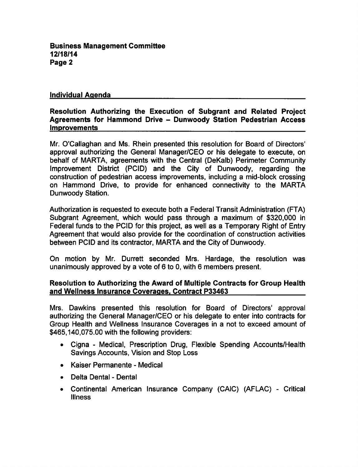Business Management Committee 12/18/14 Page 2

## Individual Agenda

## Resolution Authorizing the Execution of Subgrant and Related Project Agreements for Hammond Drive - Dunwoody Station Pedestrian Access **Improvements**

Mr. O'Callaghan and Ms. Rhein presented this resolution for Board of Directors' approval authorizing the General Manager/CEO or his delegate to execute, on behalf of MARTA, agreements with the Central (DeKalb) Perimeter Community Improvement District (PCID) and the City of Dunwoody, regarding the construction of pedestrian access improvements, including a mid-block crossing on Hammond Drive, to provide for enhanced connectivity to the MARTA Dunwoody Station.

Authorization is requested to execute both a Federal Transit Administration (FTA) Subgrant Agreement, which would pass through a maximum of \$320,000 in Federal funds to the PCID for this project, as well as a Temporary Right of Entry Agreement that would also provide for the coordination of construction activities between PCID and its contractor, MARTA and the City of Dunwoody.

On motion by Mr. Durrett seconded Mrs. Hardage, the resolution was unanimously approved by a vote of 6 to 0, with 6 members present.

#### Resolution to Authorizing the Award of Multiple Contracts for Group Health and Wellness Insurance Coverages. Contract P33463

Mrs. Dawkins presented this resolution for Board of Directors' approval authorizing the General Manager/CEO or his delegate to enter into contracts for Group Health and Wellness Insurance Coverages in a not to exceed amount of \$465,140,075.00 with the following providers:

- Cigna Medical, Prescription Drug, Flexible Spending Accounts/Health Savings Accounts, Vision and Stop Loss
- Kaiser Permanente Medical
- Delta Dental Dental  $\bullet$
- Continental American Insurance Company (CAIC) (AFLAC) Critical  $\bullet$ **Illness**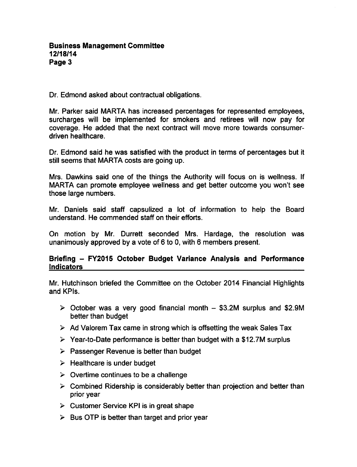Dr. Edmond asked about contractual obligations.

Mr. Parker said MARTA has increased percentages for represented employees, surcharges will be implemented for smokers and retirees will now pay for coverage. He added that the next contract will move more towards consumerdriven healthcare.

Dr. Edmond said he was satisfied with the product in terms of percentages but it still seems that MARTA costs are going up.

Mrs. Dawkins said one of the things the Authority will focus on is wellness. If MARTA can promote employee wellness and get better outcome you won't see those large numbers.

Mr. Daniels said staff capsulized a lot of information to help the Board understand. He commended staff on their efforts.

On motion by Mr. Durrett seconded Mrs. Hardage, the resolution was unanimously approved by a vote of  $6$  to 0, with  $6$  members present.

## Briefing - FY2015 October Budget Variance Analysis and Performance Indicators

Mr. Hutchinson briefed the Committee on the October 2014 Financial Highlights and KPIs.

- $\geq$  October was a very good financial month  $-$  \$3.2M surplus and \$2.9M better than budget
- $\triangleright$  Ad Valorem Tax came in strong which is offsetting the weak Sales Tax
- $\geq$  Year-to-Date performance is better than budget with a \$12.7M surplus
- $\triangleright$  Passenger Revenue is better than budget
- $\triangleright$  Healthcare is under budget
- $\geq$  Overtime continues to be a challenge
- $\triangleright$  Combined Ridership is considerably better than projection and better than prior year
- $\triangleright$  Customer Service KPI is in great shape
- $\triangleright$  Bus OTP is better than target and prior year